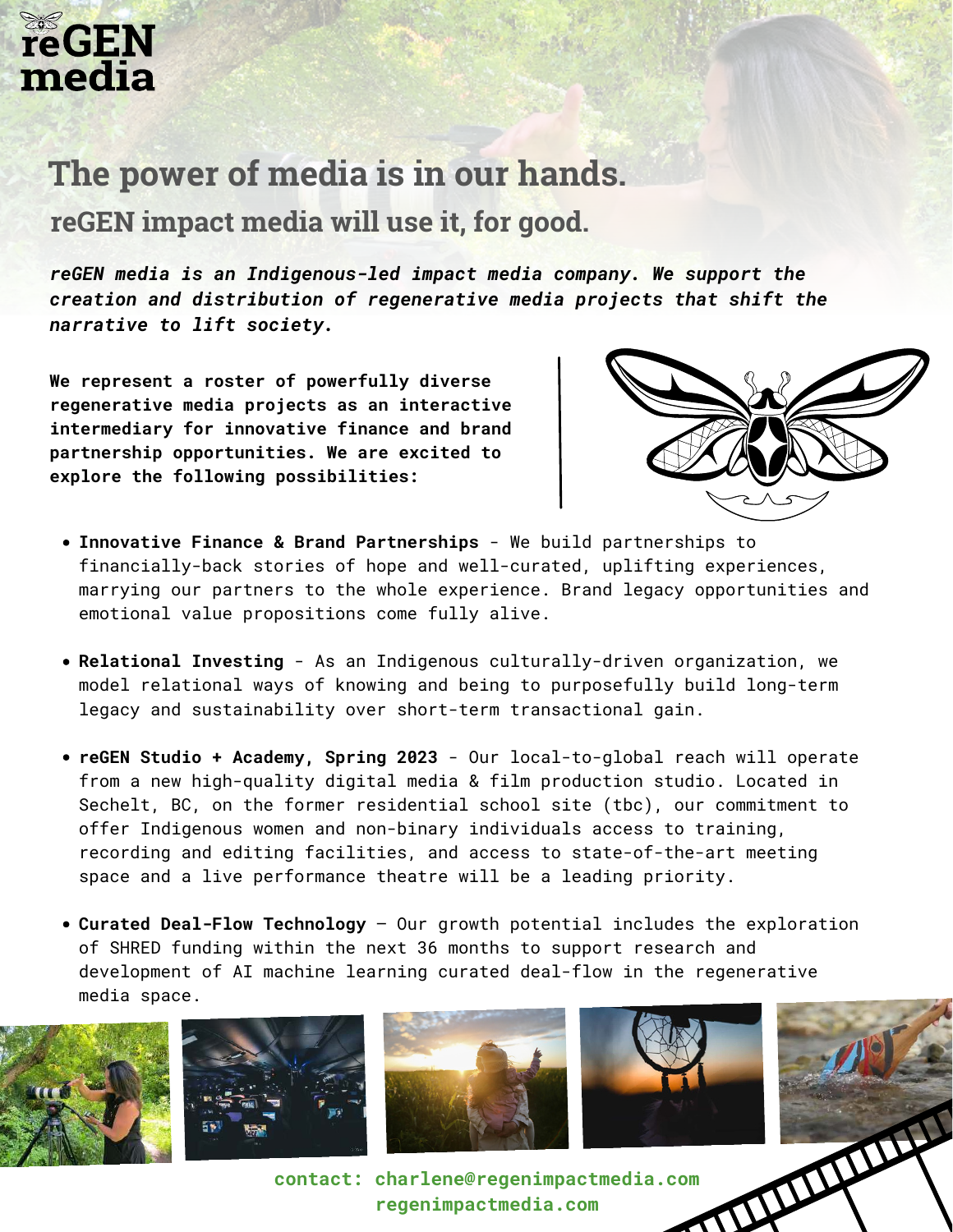### **The power of media is in our hands.**

 **reGEN impact media will use it, for good.**

*reGEN media is an Indigenous-led impact media company. We support the creation and distribution of regenerative media projects that shift the narrative to lift society.* 

**We represent a roster of powerfully diverse regenerative media projects as an interactive intermediary for innovative finance and brand partnership opportunities. We are excited to explore the following possibilities:**



- **Innovative Finance & Brand Partnerships**  We build partnerships to financially-back stories of hope and well-curated, uplifting experiences, marrying our partners to the whole experience. Brand legacy opportunities and emotional value propositions come fully alive.
- **Relational Investing**  As an Indigenous culturally-driven organization, we model relational ways of knowing and being to purposefully build long-term legacy and sustainability over short-term transactional gain.
- **reGEN Studio + Academy, Spring 2023**  Our local-to-global reach will operate from a new high-quality digital media & film production studio. Located in [Sechelt,](https://www.google.com/search?rlz=1C5CHFA_enZA776ZA776&sxsrf=APq-WBs5ok4dPU8ZMgnWwbRu8qHnMs_hUg:1647334707389&q=Sechelt&spell=1&sa=X&ved=2ahUKEwiAmr2A4Mf2AhVGi1wKHRQRB_cQkeECKAB6BAgCEDI) BC, on the former residential school site (tbc), our commitment to offer Indigenous women and non-binary individuals access to training, recording and editing facilities, and access to state-of-the-art meeting space and a live performance theatre will be a leading priority.
- **Curated Deal-Flow Technology**  Our growth potential includes the exploration of SHRED funding within the next 36 months to support research and development of AI machine learning curated deal-flow in the regenerative media space.